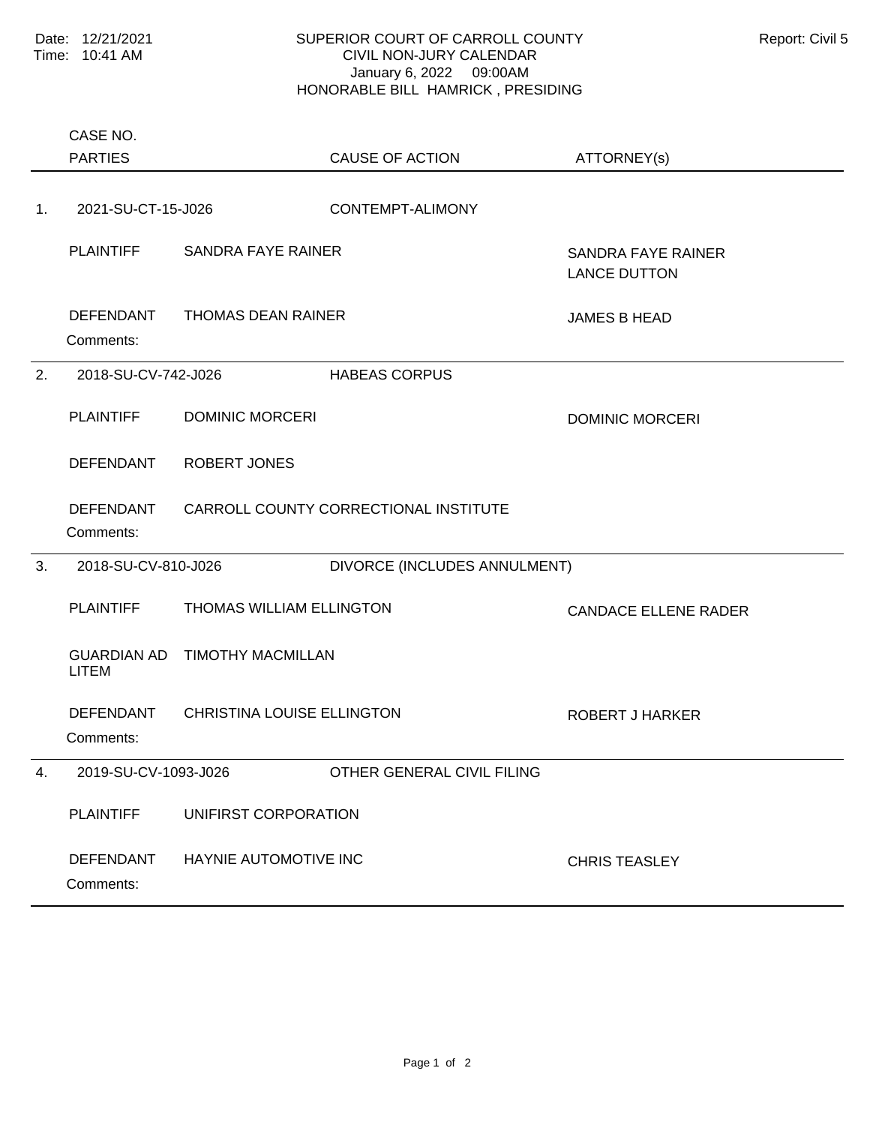## SUPERIOR COURT OF CARROLL COUNTY Report: Civil 5 CIVIL NON-JURY CALENDAR January 6, 2022 09:00AM HONORABLE BILL HAMRICK , PRESIDING

Comments: PLAINTIFF SANDRA FAYE RAINER SANDRA FAYE RAINER LANCE DUTTON DEFENDANT THOMAS DEAN RAINER JAMES B HEAD 1. 2021-SU-CT-15-J026 CONTEMPT-ALIMONY Comments: PLAINTIFF DOMINIC MORCERI DESCRIPTION DOMINIC MORCERI DEFENDANT ROBERT JONES DEFENDANT CARROLL COUNTY CORRECTIONAL INSTITUTE 2. 2018-SU-CV-742-J026 HABEAS CORPUS Comments: PLAINTIFF THOMAS WILLIAM ELLINGTON CANDACE ELLENE RADER GUARDIAN AD TIMOTHY MACMILLAN LITEM DEFENDANT CHRISTINA LOUISE ELLINGTON ROBERT J HARKER 3. 2018-SU-CV-810-J026 DIVORCE (INCLUDES ANNULMENT) Comments: PLAINTIFF UNIFIRST CORPORATION DEFENDANT HAYNIE AUTOMOTIVE INC<br>
CHRIS TEASLEY 4. 2019-SU-CV-1093-J026 OTHER GENERAL CIVIL FILING PARTIES CASE NO. CAUSE OF ACTION ATTORNEY(s)